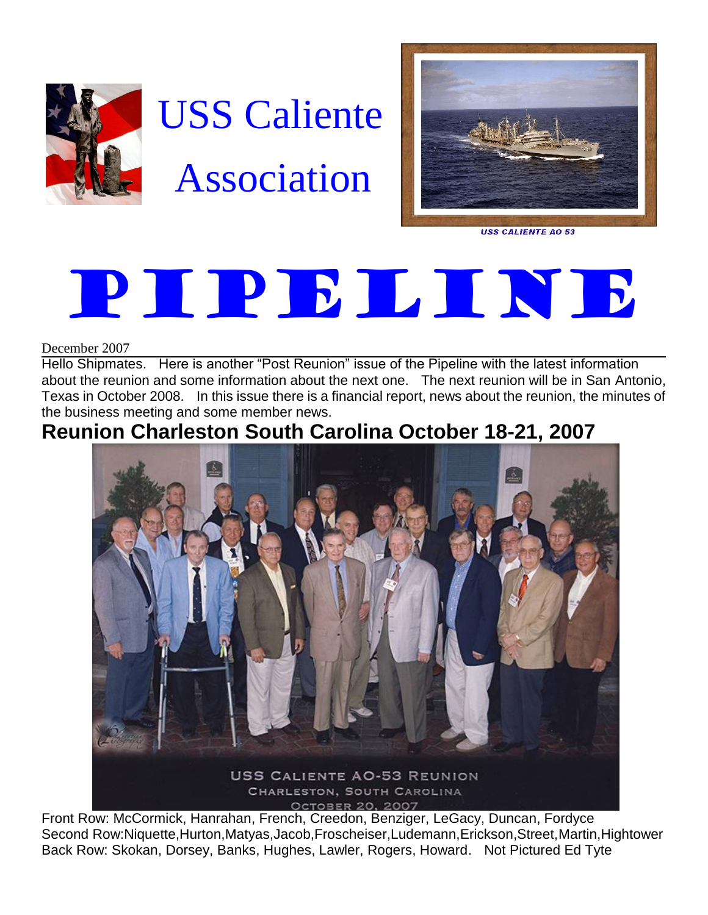

# USS Caliente Association



**USS CALIENTE AO 53** 

# PIPELINE

December 2007

Hello Shipmates. Here is another "Post Reunion" issue of the Pipeline with the latest information about the reunion and some information about the next one. The next reunion will be in San Antonio, Texas in October 2008. In this issue there is a financial report, news about the reunion, the minutes of the business meeting and some member news.

# **Reunion Charleston South Carolina October 18-21, 2007**



Front Row: McCormick, Hanrahan, French, Creedon, Benziger, LeGacy, Duncan, Fordyce Second Row:Niquette,Hurton,Matyas,Jacob,Froscheiser,Ludemann,Erickson,Street,Martin,Hightower Back Row: Skokan, Dorsey, Banks, Hughes, Lawler, Rogers, Howard. Not Pictured Ed Tyte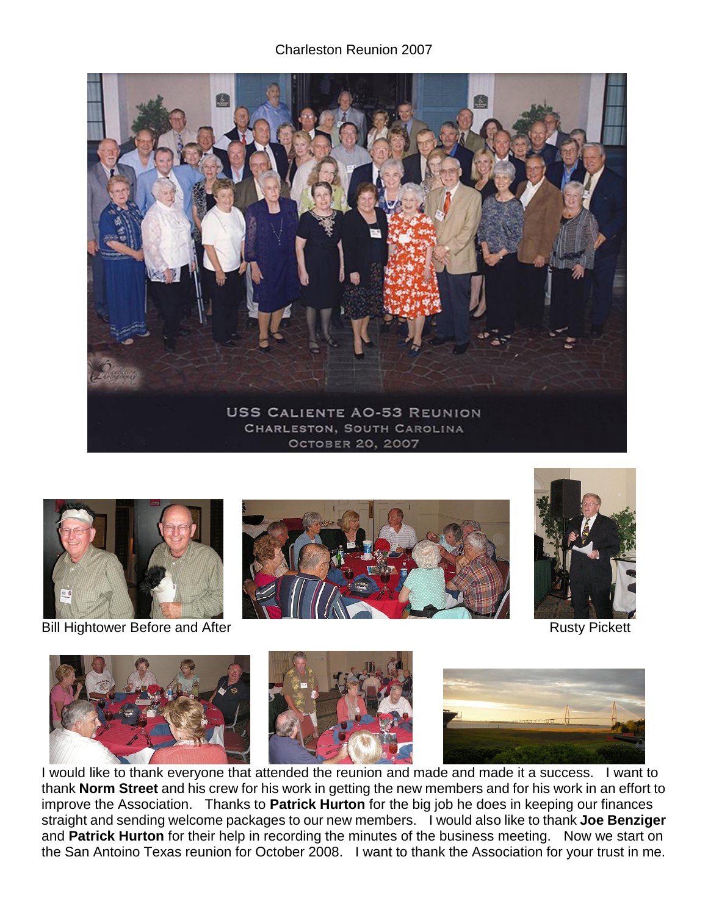#### Charleston Reunion 2007





Bill Hightower Before and After **Rusty Pickett** Bill Hightower Before and After







I would like to thank everyone that attended the reunion and made and made it a success. I want to thank **Norm Street** and his crew for his work in getting the new members and for his work in an effort to improve the Association. Thanks to **Patrick Hurton** for the big job he does in keeping our finances straight and sending welcome packages to our new members. I would also like to thank **Joe Benziger** and **Patrick Hurton** for their help in recording the minutes of the business meeting. Now we start on the San Antoino Texas reunion for October 2008. I want to thank the Association for your trust in me.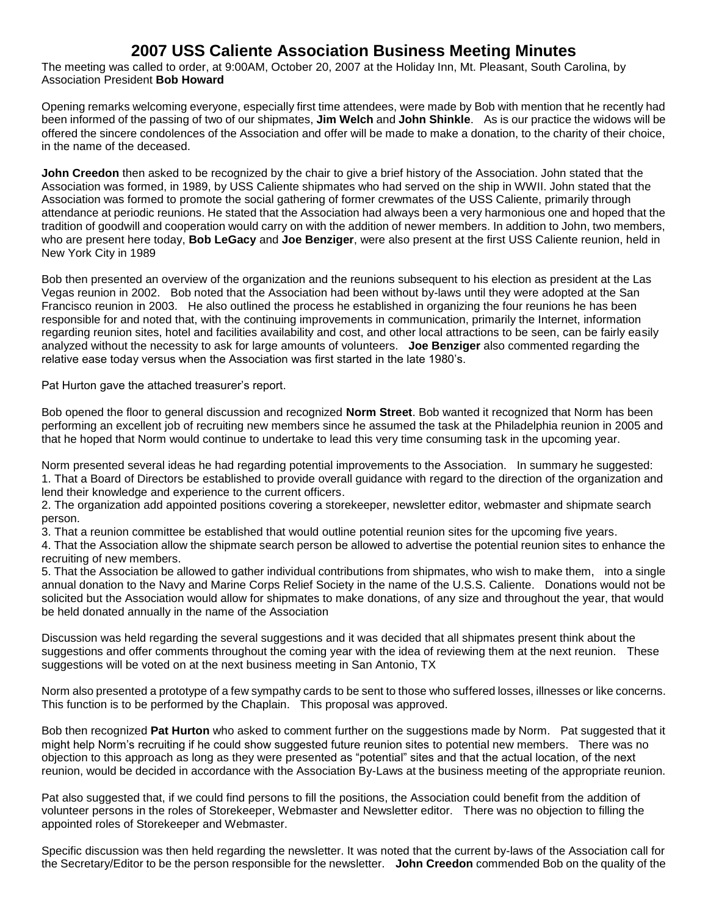# **2007 USS Caliente Association Business Meeting Minutes**

The meeting was called to order, at 9:00AM, October 20, 2007 at the Holiday Inn, Mt. Pleasant, South Carolina, by Association President **Bob Howard**

Opening remarks welcoming everyone, especially first time attendees, were made by Bob with mention that he recently had been informed of the passing of two of our shipmates, **Jim Welch** and **John Shinkle**. As is our practice the widows will be offered the sincere condolences of the Association and offer will be made to make a donation, to the charity of their choice, in the name of the deceased.

**John Creedon** then asked to be recognized by the chair to give a brief history of the Association. John stated that the Association was formed, in 1989, by USS Caliente shipmates who had served on the ship in WWII. John stated that the Association was formed to promote the social gathering of former crewmates of the USS Caliente, primarily through attendance at periodic reunions. He stated that the Association had always been a very harmonious one and hoped that the tradition of goodwill and cooperation would carry on with the addition of newer members. In addition to John, two members, who are present here today, **Bob LeGacy** and **Joe Benziger**, were also present at the first USS Caliente reunion, held in New York City in 1989

Bob then presented an overview of the organization and the reunions subsequent to his election as president at the Las Vegas reunion in 2002. Bob noted that the Association had been without by-laws until they were adopted at the San Francisco reunion in 2003. He also outlined the process he established in organizing the four reunions he has been responsible for and noted that, with the continuing improvements in communication, primarily the Internet, information regarding reunion sites, hotel and facilities availability and cost, and other local attractions to be seen, can be fairly easily analyzed without the necessity to ask for large amounts of volunteers. **Joe Benziger** also commented regarding the relative ease today versus when the Association was first started in the late 1980's.

Pat Hurton gave the attached treasurer's report.

Bob opened the floor to general discussion and recognized **Norm Street**. Bob wanted it recognized that Norm has been performing an excellent job of recruiting new members since he assumed the task at the Philadelphia reunion in 2005 and that he hoped that Norm would continue to undertake to lead this very time consuming task in the upcoming year.

Norm presented several ideas he had regarding potential improvements to the Association. In summary he suggested: 1. That a Board of Directors be established to provide overall guidance with regard to the direction of the organization and lend their knowledge and experience to the current officers.

2. The organization add appointed positions covering a storekeeper, newsletter editor, webmaster and shipmate search person.

3. That a reunion committee be established that would outline potential reunion sites for the upcoming five years.

4. That the Association allow the shipmate search person be allowed to advertise the potential reunion sites to enhance the recruiting of new members.

5. That the Association be allowed to gather individual contributions from shipmates, who wish to make them, into a single annual donation to the Navy and Marine Corps Relief Society in the name of the U.S.S. Caliente. Donations would not be solicited but the Association would allow for shipmates to make donations, of any size and throughout the year, that would be held donated annually in the name of the Association

Discussion was held regarding the several suggestions and it was decided that all shipmates present think about the suggestions and offer comments throughout the coming year with the idea of reviewing them at the next reunion. These suggestions will be voted on at the next business meeting in San Antonio, TX

Norm also presented a prototype of a few sympathy cards to be sent to those who suffered losses, illnesses or like concerns. This function is to be performed by the Chaplain. This proposal was approved.

Bob then recognized **Pat Hurton** who asked to comment further on the suggestions made by Norm. Pat suggested that it might help Norm's recruiting if he could show suggested future reunion sites to potential new members. There was no objection to this approach as long as they were presented as "potential" sites and that the actual location, of the next reunion, would be decided in accordance with the Association By-Laws at the business meeting of the appropriate reunion.

Pat also suggested that, if we could find persons to fill the positions, the Association could benefit from the addition of volunteer persons in the roles of Storekeeper, Webmaster and Newsletter editor. There was no objection to filling the appointed roles of Storekeeper and Webmaster.

Specific discussion was then held regarding the newsletter. It was noted that the current by-laws of the Association call for the Secretary/Editor to be the person responsible for the newsletter. **John Creedon** commended Bob on the quality of the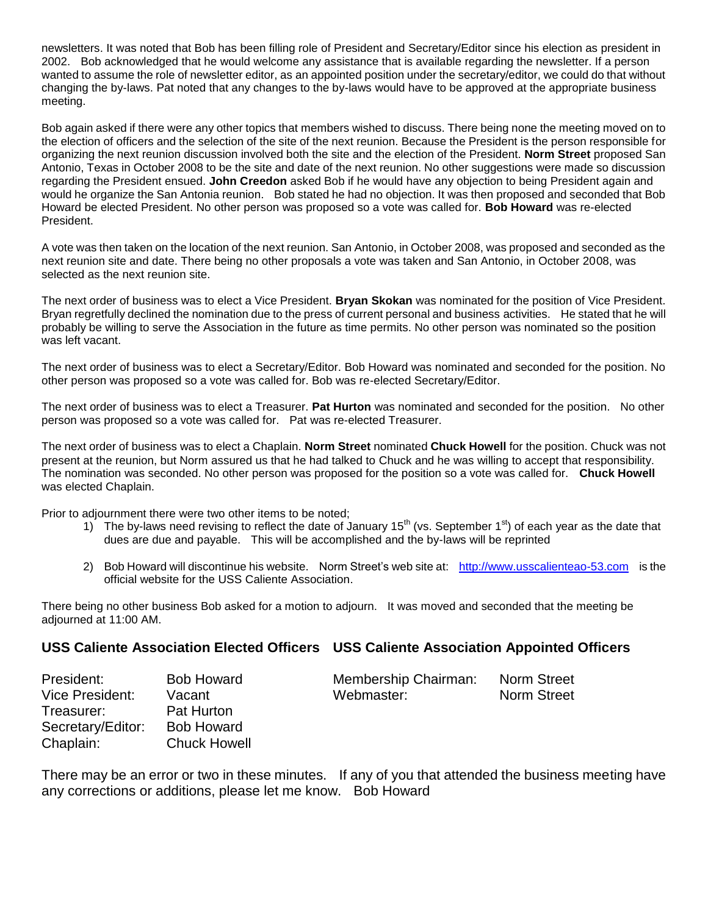newsletters. It was noted that Bob has been filling role of President and Secretary/Editor since his election as president in 2002. Bob acknowledged that he would welcome any assistance that is available regarding the newsletter. If a person wanted to assume the role of newsletter editor, as an appointed position under the secretary/editor, we could do that without changing the by-laws. Pat noted that any changes to the by-laws would have to be approved at the appropriate business meeting.

Bob again asked if there were any other topics that members wished to discuss. There being none the meeting moved on to the election of officers and the selection of the site of the next reunion. Because the President is the person responsible for organizing the next reunion discussion involved both the site and the election of the President. **Norm Street** proposed San Antonio, Texas in October 2008 to be the site and date of the next reunion. No other suggestions were made so discussion regarding the President ensued. **John Creedon** asked Bob if he would have any objection to being President again and would he organize the San Antonia reunion. Bob stated he had no objection. It was then proposed and seconded that Bob Howard be elected President. No other person was proposed so a vote was called for. **Bob Howard** was re-elected President.

A vote was then taken on the location of the next reunion. San Antonio, in October 2008, was proposed and seconded as the next reunion site and date. There being no other proposals a vote was taken and San Antonio, in October 2008, was selected as the next reunion site.

The next order of business was to elect a Vice President. **Bryan Skokan** was nominated for the position of Vice President. Bryan regretfully declined the nomination due to the press of current personal and business activities. He stated that he will probably be willing to serve the Association in the future as time permits. No other person was nominated so the position was left vacant.

The next order of business was to elect a Secretary/Editor. Bob Howard was nominated and seconded for the position. No other person was proposed so a vote was called for. Bob was re-elected Secretary/Editor.

The next order of business was to elect a Treasurer. **Pat Hurton** was nominated and seconded for the position. No other person was proposed so a vote was called for. Pat was re-elected Treasurer.

The next order of business was to elect a Chaplain. **Norm Street** nominated **Chuck Howell** for the position. Chuck was not present at the reunion, but Norm assured us that he had talked to Chuck and he was willing to accept that responsibility. The nomination was seconded. No other person was proposed for the position so a vote was called for. **Chuck Howell** was elected Chaplain.

Prior to adjournment there were two other items to be noted;

- 1) The by-laws need revising to reflect the date of January 15<sup>th</sup> (vs. September 1<sup>st</sup>) of each year as the date that dues are due and payable. This will be accomplished and the by-laws will be reprinted
- 2) Bob Howard will discontinue his website. Norm Street's web site at: [http://www.usscalienteao-53.com](http://www.usscalienteao-53.com/) is the official website for the USS Caliente Association.

There being no other business Bob asked for a motion to adjourn. It was moved and seconded that the meeting be adjourned at 11:00 AM.

#### **USS Caliente Association Elected Officers USS Caliente Association Appointed Officers**

| President:        | <b>Bob Howard</b>   | Membership Chairman: | Norm Street |
|-------------------|---------------------|----------------------|-------------|
| Vice President:   | Vacant              | Webmaster:           | Norm Street |
| Treasurer:        | Pat Hurton          |                      |             |
| Secretary/Editor: | <b>Bob Howard</b>   |                      |             |
| Chaplain:         | <b>Chuck Howell</b> |                      |             |

There may be an error or two in these minutes. If any of you that attended the business meeting have any corrections or additions, please let me know. Bob Howard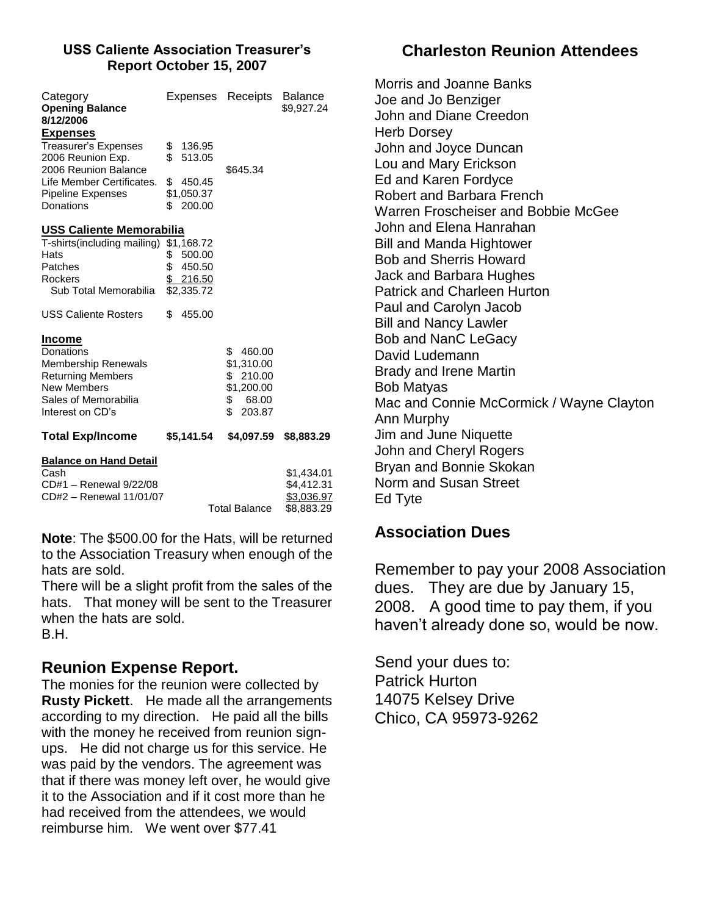#### **USS Caliente Association Treasurer's Report October 15, 2007**

| \$                                      | \$136.95         |                                                                                                          |                                                             |
|-----------------------------------------|------------------|----------------------------------------------------------------------------------------------------------|-------------------------------------------------------------|
| \$                                      | 513.05<br>450.45 | \$645.34                                                                                                 |                                                             |
|                                         |                  |                                                                                                          |                                                             |
| T-shirts(including mailing)<br>\$<br>\$ | 500.00<br>450.50 |                                                                                                          |                                                             |
| \$                                      | 455.00           |                                                                                                          |                                                             |
|                                         |                  | \$<br>460.00<br>\$1,310.00<br>210.00<br>\$<br>\$1,200.00<br>\$<br>68.00<br>\$<br>203.87                  |                                                             |
|                                         |                  | \$4,097.59                                                                                               | \$8,883.29                                                  |
|                                         |                  |                                                                                                          | \$1,434.01<br>\$4,412.31<br><u>\$3,036.97</u><br>\$8,883.29 |
|                                         |                  | \$1,050.37<br>\$200.00<br>USS Caliente Memorabilia<br>\$1,168.72<br>\$216.50<br>\$2,335.72<br>\$5,141.54 | <b>Total Balance</b>                                        |

**Note**: The \$500.00 for the Hats, will be returned to the Association Treasury when enough of the hats are sold.

There will be a slight profit from the sales of the hats. That money will be sent to the Treasurer when the hats are sold. B.H.

# **Reunion Expense Report.**

The monies for the reunion were collected by **Rusty Pickett**. He made all the arrangements according to my direction. He paid all the bills with the money he received from reunion signups. He did not charge us for this service. He was paid by the vendors. The agreement was that if there was money left over, he would give it to the Association and if it cost more than he had received from the attendees, we would reimburse him. We went over \$77.41

# **Charleston Reunion Attendees**

Morris and Joanne Banks Joe and Jo Benziger John and Diane Creedon Herb Dorsey John and Joyce Duncan Lou and Mary Erickson Ed and Karen Fordyce Robert and Barbara French Warren Froscheiser and Bobbie McGee John and Elena Hanrahan Bill and Manda Hightower Bob and Sherris Howard Jack and Barbara Hughes Patrick and Charleen Hurton Paul and Carolyn Jacob Bill and Nancy Lawler Bob and NanC LeGacy David Ludemann Brady and Irene Martin Bob Matyas Mac and Connie McCormick / Wayne Clayton Ann Murphy Jim and June Niquette John and Cheryl Rogers Bryan and Bonnie Skokan Norm and Susan Street Ed Tyte

# **Association Dues**

Remember to pay your 2008 Association dues. They are due by January 15, 2008. A good time to pay them, if you haven't already done so, would be now.

Send your dues to: Patrick Hurton 14075 Kelsey Drive Chico, CA 95973-9262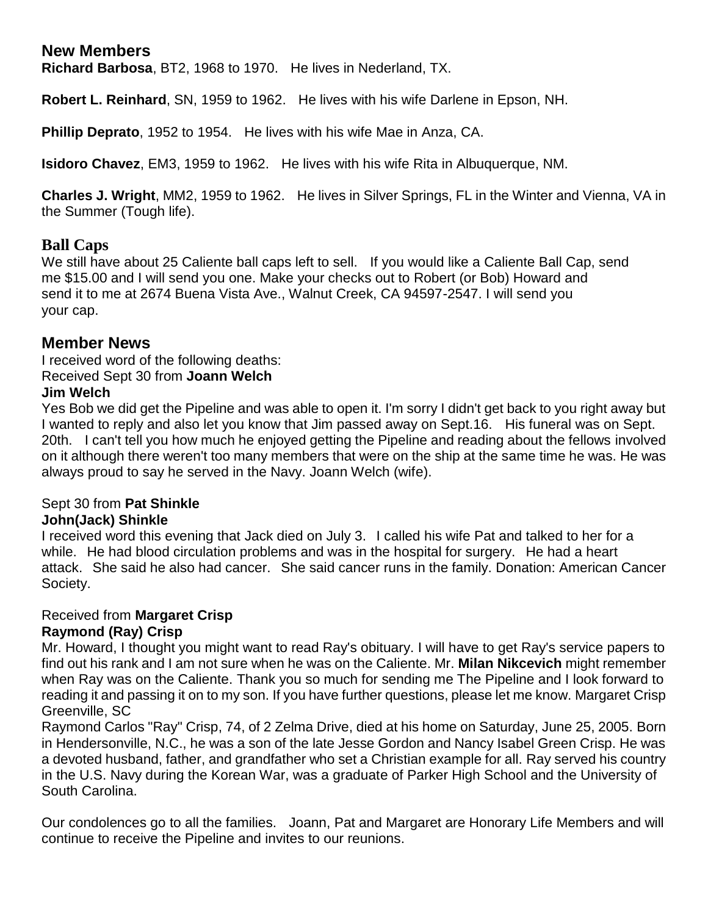# **New Members**

**Richard Barbosa**, BT2, 1968 to 1970. He lives in Nederland, TX.

**Robert L. Reinhard**, SN, 1959 to 1962. He lives with his wife Darlene in Epson, NH.

**Phillip Deprato**, 1952 to 1954. He lives with his wife Mae in Anza, CA.

**Isidoro Chavez**, EM3, 1959 to 1962. He lives with his wife Rita in Albuquerque, NM.

**Charles J. Wright**, MM2, 1959 to 1962. He lives in Silver Springs, FL in the Winter and Vienna, VA in the Summer (Tough life).

#### **Ball Caps**

We still have about 25 Caliente ball caps left to sell. If you would like a Caliente Ball Cap, send me \$15.00 and I will send you one. Make your checks out to Robert (or Bob) Howard and send it to me at 2674 Buena Vista Ave., Walnut Creek, CA 94597-2547. I will send you your cap.

#### **Member News**

I received word of the following deaths: Received Sept 30 from **Joann Welch**

#### **Jim Welch**

Yes Bob we did get the Pipeline and was able to open it. I'm sorry I didn't get back to you right away but I wanted to reply and also let you know that Jim passed away on Sept.16. His funeral was on Sept. 20th. I can't tell you how much he enjoyed getting the Pipeline and reading about the fellows involved on it although there weren't too many members that were on the ship at the same time he was. He was always proud to say he served in the Navy. Joann Welch (wife).

# Sept 30 from **Pat Shinkle**

# **John(Jack) Shinkle**

I received word this evening that Jack died on July 3. I called his wife Pat and talked to her for a while. He had blood circulation problems and was in the hospital for surgery. He had a heart attack. She said he also had cancer. She said cancer runs in the family. Donation: American Cancer Society.

#### Received from **Margaret Crisp Raymond (Ray) Crisp**

Mr. Howard, I thought you might want to read Ray's obituary. I will have to get Ray's service papers to find out his rank and I am not sure when he was on the Caliente. Mr. **Milan Nikcevich** might remember when Ray was on the Caliente. Thank you so much for sending me The Pipeline and I look forward to reading it and passing it on to my son. If you have further questions, please let me know. Margaret Crisp Greenville, SC

Raymond Carlos "Ray" Crisp, 74, of 2 Zelma Drive, died at his home on Saturday, June 25, 2005. Born in Hendersonville, N.C., he was a son of the late Jesse Gordon and Nancy Isabel Green Crisp. He was a devoted husband, father, and grandfather who set a Christian example for all. Ray served his country in the U.S. Navy during the Korean War, was a graduate of Parker High School and the University of South Carolina.

Our condolences go to all the families. Joann, Pat and Margaret are Honorary Life Members and will continue to receive the Pipeline and invites to our reunions.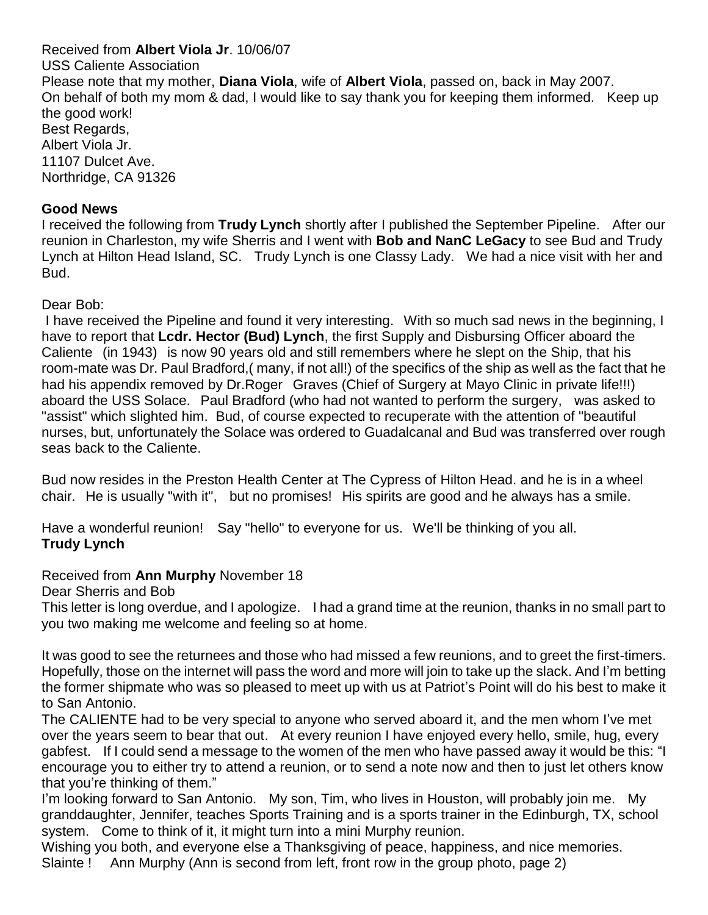Received from **Albert Viola Jr**. 10/06/07 USS Caliente Association Please note that my mother, **Diana Viola**, wife of **Albert Viola**, passed on, back in May 2007. On behalf of both my mom & dad, I would like to say thank you for keeping them informed. Keep up the good work! Best Regards, Albert Viola Jr. 11107 Dulcet Ave. Northridge, CA 91326

#### **Good News**

I received the following from **Trudy Lynch** shortly after I published the September Pipeline. After our reunion in Charleston, my wife Sherris and I went with **Bob and NanC LeGacy** to see Bud and Trudy Lynch at Hilton Head Island, SC. Trudy Lynch is one Classy Lady. We had a nice visit with her and Bud.

#### Dear Bob:

I have received the Pipeline and found it very interesting. With so much sad news in the beginning, I have to report that **Lcdr. Hector (Bud) Lynch**, the first Supply and Disbursing Officer aboard the Caliente (in 1943) is now 90 years old and still remembers where he slept on the Ship, that his room-mate was Dr. Paul Bradford,( many, if not all!) of the specifics of the ship as well as the fact that he had his appendix removed by Dr.Roger Graves (Chief of Surgery at Mayo Clinic in private life!!!) aboard the USS Solace. Paul Bradford (who had not wanted to perform the surgery, was asked to "assist" which slighted him. Bud, of course expected to recuperate with the attention of "beautiful nurses, but, unfortunately the Solace was ordered to Guadalcanal and Bud was transferred over rough seas back to the Caliente.

Bud now resides in the Preston Health Center at The Cypress of Hilton Head. and he is in a wheel chair. He is usually "with it", but no promises! His spirits are good and he always has a smile.

Have a wonderful reunion! Say "hello" to everyone for us. We'll be thinking of you all. **Trudy Lynch**

Received from **Ann Murphy** November 18

Dear Sherris and Bob

This letter is long overdue, and I apologize. I had a grand time at the reunion, thanks in no small part to you two making me welcome and feeling so at home.

It was good to see the returnees and those who had missed a few reunions, and to greet the first-timers. Hopefully, those on the internet will pass the word and more will join to take up the slack. And I'm betting the former shipmate who was so pleased to meet up with us at Patriot's Point will do his best to make it to San Antonio.

The CALIENTE had to be very special to anyone who served aboard it, and the men whom I've met over the years seem to bear that out. At every reunion I have enjoyed every hello, smile, hug, every gabfest. If I could send a message to the women of the men who have passed away it would be this: "I encourage you to either try to attend a reunion, or to send a note now and then to just let others know that you're thinking of them."

I'm looking forward to San Antonio. My son, Tim, who lives in Houston, will probably join me. My granddaughter, Jennifer, teaches Sports Training and is a sports trainer in the Edinburgh, TX, school system. Come to think of it, it might turn into a mini Murphy reunion.

Wishing you both, and everyone else a Thanksgiving of peace, happiness, and nice memories. Slainte ! Ann Murphy (Ann is second from left, front row in the group photo, page 2)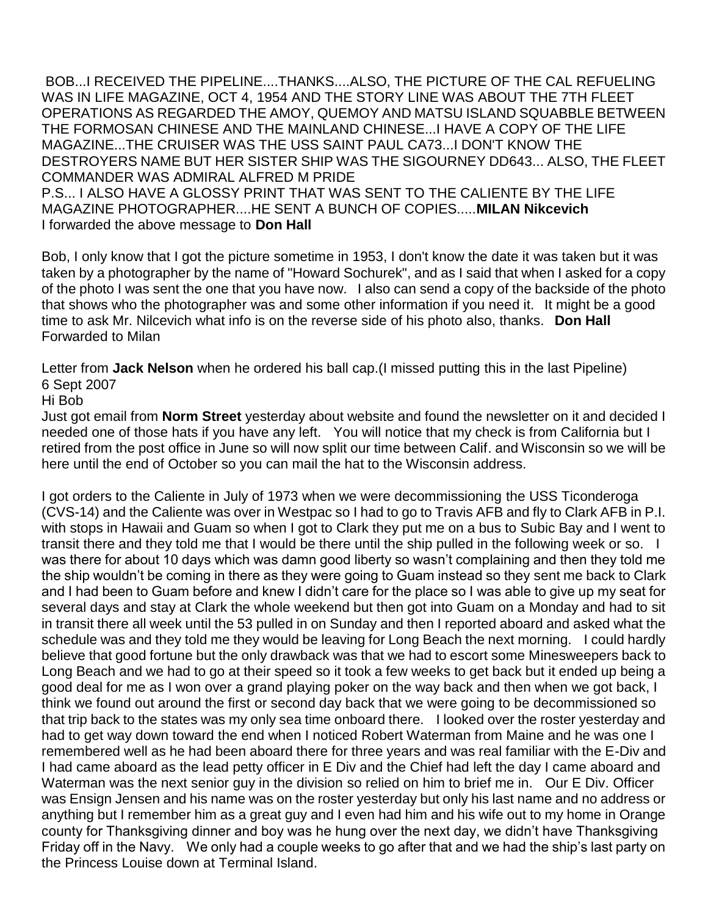BOB...I RECEIVED THE PIPELINE....THANKS....ALSO, THE PICTURE OF THE CAL REFUELING WAS IN LIFE MAGAZINE, OCT 4, 1954 AND THE STORY LINE WAS ABOUT THE 7TH FLEET OPERATIONS AS REGARDED THE AMOY, QUEMOY AND MATSU ISLAND SQUABBLE BETWEEN THE FORMOSAN CHINESE AND THE MAINLAND CHINESE...I HAVE A COPY OF THE LIFE MAGAZINE...THE CRUISER WAS THE USS SAINT PAUL CA73...I DON'T KNOW THE DESTROYERS NAME BUT HER SISTER SHIP WAS THE SIGOURNEY DD643... ALSO, THE FLEET COMMANDER WAS ADMIRAL ALFRED M PRIDE

P.S... I ALSO HAVE A GLOSSY PRINT THAT WAS SENT TO THE CALIENTE BY THE LIFE MAGAZINE PHOTOGRAPHER....HE SENT A BUNCH OF COPIES.....**MILAN Nikcevich** I forwarded the above message to **Don Hall**

Bob, I only know that I got the picture sometime in 1953, I don't know the date it was taken but it was taken by a photographer by the name of "Howard Sochurek", and as I said that when I asked for a copy of the photo I was sent the one that you have now. I also can send a copy of the backside of the photo that shows who the photographer was and some other information if you need it. It might be a good time to ask Mr. Nilcevich what info is on the reverse side of his photo also, thanks. **Don Hall** Forwarded to Milan

Letter from **Jack Nelson** when he ordered his ball cap.(I missed putting this in the last Pipeline) 6 Sept 2007

#### Hi Bob

Just got email from **Norm Street** yesterday about website and found the newsletter on it and decided I needed one of those hats if you have any left. You will notice that my check is from California but I retired from the post office in June so will now split our time between Calif. and Wisconsin so we will be here until the end of October so you can mail the hat to the Wisconsin address.

I got orders to the Caliente in July of 1973 when we were decommissioning the USS Ticonderoga (CVS-14) and the Caliente was over in Westpac so I had to go to Travis AFB and fly to Clark AFB in P.I. with stops in Hawaii and Guam so when I got to Clark they put me on a bus to Subic Bay and I went to transit there and they told me that I would be there until the ship pulled in the following week or so. I was there for about 10 days which was damn good liberty so wasn't complaining and then they told me the ship wouldn't be coming in there as they were going to Guam instead so they sent me back to Clark and I had been to Guam before and knew I didn't care for the place so I was able to give up my seat for several days and stay at Clark the whole weekend but then got into Guam on a Monday and had to sit in transit there all week until the 53 pulled in on Sunday and then I reported aboard and asked what the schedule was and they told me they would be leaving for Long Beach the next morning. I could hardly believe that good fortune but the only drawback was that we had to escort some Minesweepers back to Long Beach and we had to go at their speed so it took a few weeks to get back but it ended up being a good deal for me as I won over a grand playing poker on the way back and then when we got back, I think we found out around the first or second day back that we were going to be decommissioned so that trip back to the states was my only sea time onboard there. I looked over the roster yesterday and had to get way down toward the end when I noticed Robert Waterman from Maine and he was one I remembered well as he had been aboard there for three years and was real familiar with the E-Div and I had came aboard as the lead petty officer in E Div and the Chief had left the day I came aboard and Waterman was the next senior guy in the division so relied on him to brief me in. Our E Div. Officer was Ensign Jensen and his name was on the roster yesterday but only his last name and no address or anything but I remember him as a great guy and I even had him and his wife out to my home in Orange county for Thanksgiving dinner and boy was he hung over the next day, we didn't have Thanksgiving Friday off in the Navy. We only had a couple weeks to go after that and we had the ship's last party on the Princess Louise down at Terminal Island.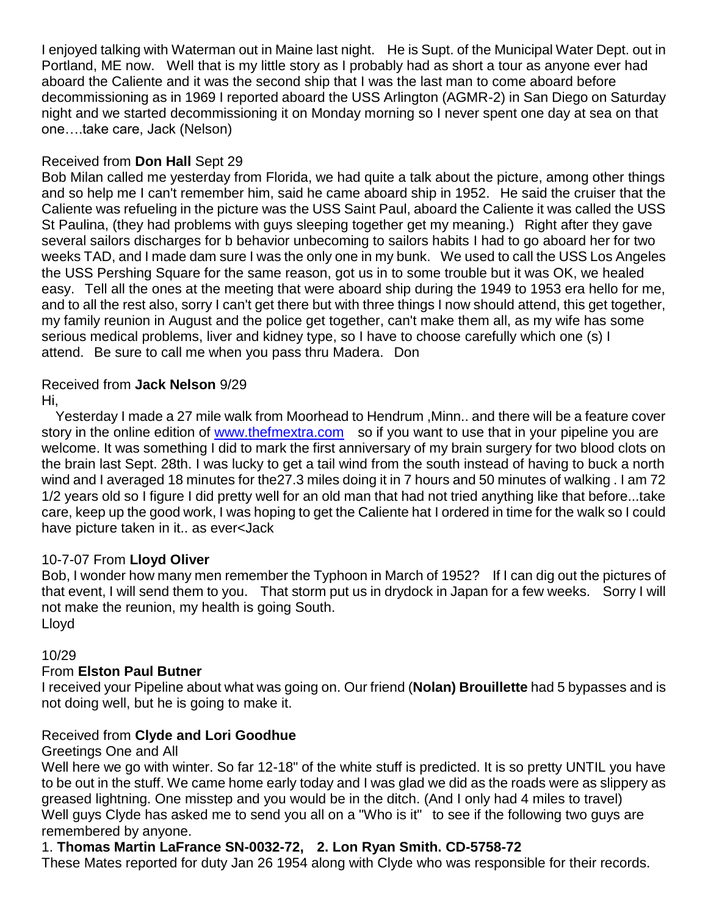I enjoyed talking with Waterman out in Maine last night. He is Supt. of the Municipal Water Dept. out in Portland, ME now. Well that is my little story as I probably had as short a tour as anyone ever had aboard the Caliente and it was the second ship that I was the last man to come aboard before decommissioning as in 1969 I reported aboard the USS Arlington (AGMR-2) in San Diego on Saturday night and we started decommissioning it on Monday morning so I never spent one day at sea on that one….take care, Jack (Nelson)

#### Received from **Don Hall** Sept 29

Bob Milan called me yesterday from Florida, we had quite a talk about the picture, among other things and so help me I can't remember him, said he came aboard ship in 1952. He said the cruiser that the Caliente was refueling in the picture was the USS Saint Paul, aboard the Caliente it was called the USS St Paulina, (they had problems with guys sleeping together get my meaning.) Right after they gave several sailors discharges for b behavior unbecoming to sailors habits I had to go aboard her for two weeks TAD, and I made dam sure I was the only one in my bunk. We used to call the USS Los Angeles the USS Pershing Square for the same reason, got us in to some trouble but it was OK, we healed easy. Tell all the ones at the meeting that were aboard ship during the 1949 to 1953 era hello for me, and to all the rest also, sorry I can't get there but with three things I now should attend, this get together, my family reunion in August and the police get together, can't make them all, as my wife has some serious medical problems, liver and kidney type, so I have to choose carefully which one (s) I attend. Be sure to call me when you pass thru Madera. Don

#### Received from **Jack Nelson** 9/29

Hi,

Yesterday I made a 27 mile walk from Moorhead to Hendrum ,Minn.. and there will be a feature cover story in the online edition of [www.thefmextra.com](http://www.thefmextra.com/) so if you want to use that in your pipeline you are welcome. It was something I did to mark the first anniversary of my brain surgery for two blood clots on the brain last Sept. 28th. I was lucky to get a tail wind from the south instead of having to buck a north wind and I averaged 18 minutes for the27.3 miles doing it in 7 hours and 50 minutes of walking . I am 72 1/2 years old so I figure I did pretty well for an old man that had not tried anything like that before...take care, keep up the good work, I was hoping to get the Caliente hat I ordered in time for the walk so I could have picture taken in it.. as ever<Jack

# 10-7-07 From **Lloyd Oliver**

Bob, I wonder how many men remember the Typhoon in March of 1952? If I can dig out the pictures of that event, I will send them to you. That storm put us in drydock in Japan for a few weeks. Sorry I will not make the reunion, my health is going South. Lloyd

10/29

# From **Elston Paul Butner**

I received your Pipeline about what was going on. Our friend (**Nolan) Brouillette** had 5 bypasses and is not doing well, but he is going to make it.

# Received from **Clyde and Lori Goodhue**

Greetings One and All

Well here we go with winter. So far 12-18" of the white stuff is predicted. It is so pretty UNTIL you have to be out in the stuff. We came home early today and I was glad we did as the roads were as slippery as greased lightning. One misstep and you would be in the ditch. (And I only had 4 miles to travel) Well guys Clyde has asked me to send you all on a "Who is it" to see if the following two guys are remembered by anyone.

# 1. **Thomas Martin LaFrance SN-0032-72, 2. Lon Ryan Smith. CD-5758-72**

These Mates reported for duty Jan 26 1954 along with Clyde who was responsible for their records.